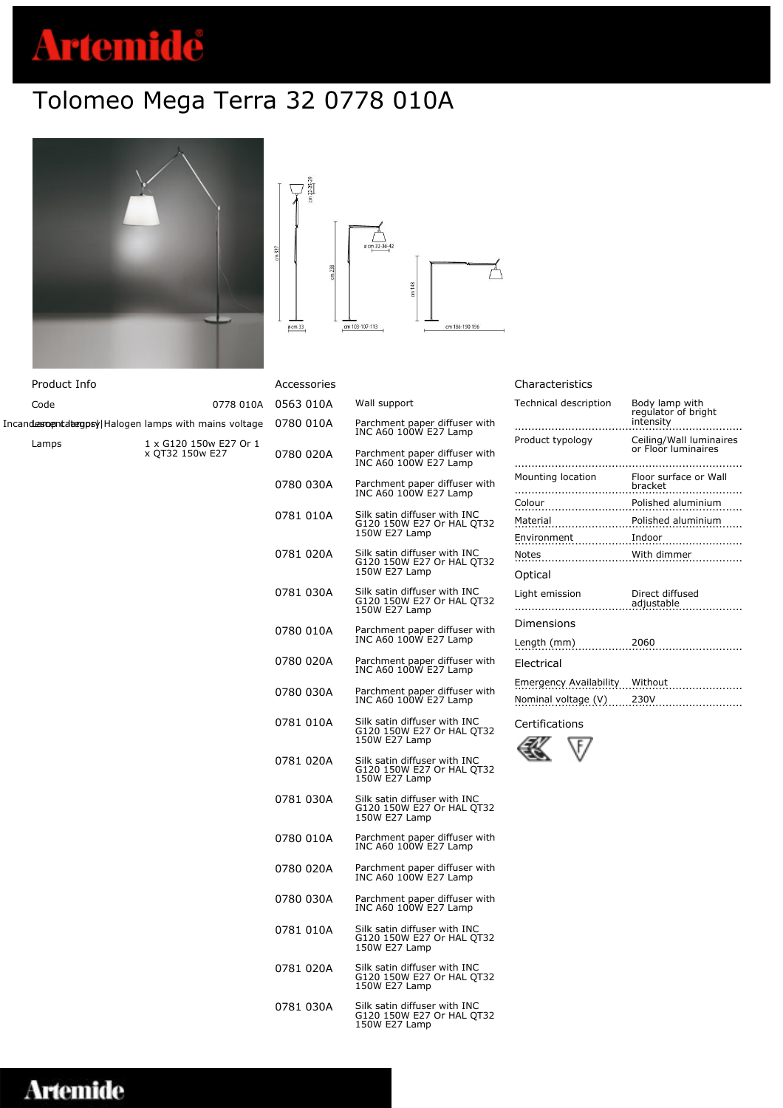# **Artemide**

## Tolomeo Mega Terra 32 0778 010A



| Product Info |                                                      | A٥   |
|--------------|------------------------------------------------------|------|
| Code         | 0778 010A 0                                          |      |
|              | Incandesoentdeegpsy Halogen lamps with mains voltage | - 07 |
| Lamps        | 1 x G120 150w E27 Or 1<br>x QT32 150w E27            |      |

|          | $cm$ $22 - 25 - 29$ |          |                |       |                |
|----------|---------------------|----------|----------------|-------|----------------|
| $cm$ 327 |                     |          | ø cm 32-36-42  |       |                |
|          |                     | $cm$ 238 |                |       |                |
|          |                     |          |                | cm148 |                |
|          |                     |          |                |       |                |
|          | $p$ cm 33           |          | cm 103-107-113 |       | cm 186-190-196 |

| Accessories |                                                                            |
|-------------|----------------------------------------------------------------------------|
| 0563 010A   | Wall support                                                               |
| 0780 010A   | Parchment paper diffuser with<br>INC A60 100W E27 Lamp                     |
| 0780 020A   | Parchment paper diffuser with<br>INC A60 100W E27 Lamp                     |
| 0780 030A   | Parchment paper diffuser with<br>INC A60 100W E27 Lamp                     |
| 0781 010A   | Silk satin diffuser with INC<br>G120 150W E27 Or HAL QT32<br>150W E27 Lamp |
| 0781 020A   | Silk satin diffuser with INC<br>G120 150W E27 Or HAL QT32<br>150W E27 Lamp |
| 0781 030A   | Silk satin diffuser with INC<br>G120 150W E27 Or HAL QT32<br>150W E27 Lamp |
| 0780 010A   | Parchment paper diffuser with<br>INC A60 100W E27 Lamp                     |
| 0780 020A   | Parchment paper diffuser with<br>INC A60 100W E27 Lamp                     |
| 0780 030A   | Parchment paper diffuser with<br>INC A60 100W E27 Lamp                     |
| 0781 010A   | Silk satin diffuser with INC<br>G120 150W E27 Or HAL QT32<br>150W E27 Lamp |
| 0781 020A   | Silk satin diffuser with INC<br>G120 150W E27 Or HAL QT32<br>150W E27 Lamp |
| 0781 030A   | Silk satin diffuser with INC<br>G120 150W E27 Or HAL QT32<br>150W E27 Lamp |
| 0780 010A   | Parchment paper diffuser with<br>INC A60 100W E27 Lamp                     |
| 0780 020A   | Parchment paper diffuser with<br>INC A60 100W E27 Lamp                     |
| 0780 030A   | Parchment paper diffuser with<br>INC A60 100W E27 Lamp                     |
| 0781 010A   | Silk satin diffuser with INC<br>G120 150W E27 Or HAL QT32<br>150W E27 Lamp |

0781 020A Silk satin diffuser with INC G120 150W E27 Or HAL QT32 150W E27 Lamp

0781 030A Silk satin diffuser with INC G120 150W E27 Or HAL QT32 150W E27 Lamp

#### Characteristics

| Technical description<br>.     | Body lamp with<br>regulator of bright<br>intensity |
|--------------------------------|----------------------------------------------------|
| Product typology               | Ceiling/Wall luminaires<br>or Floor luminaires     |
| Mounting location              | Floor surface or Wall<br>bracket<br>.              |
|                                | Polished aluminium                                 |
| Material Polished aluminium    |                                                    |
|                                |                                                    |
|                                | .<br>.                                             |
| Optical                        |                                                    |
| Light emission                 | Direct diffused                                    |
|                                | adjustable                                         |
| Dimensions                     |                                                    |
| Length $(mm)$                  | 2060                                               |
| Electrical                     |                                                    |
| Emergency Availability Without |                                                    |
| Nominal voltage (V)            | 230V                                               |
|                                |                                                    |

Certifications



|  |  | Artemide |
|--|--|----------|